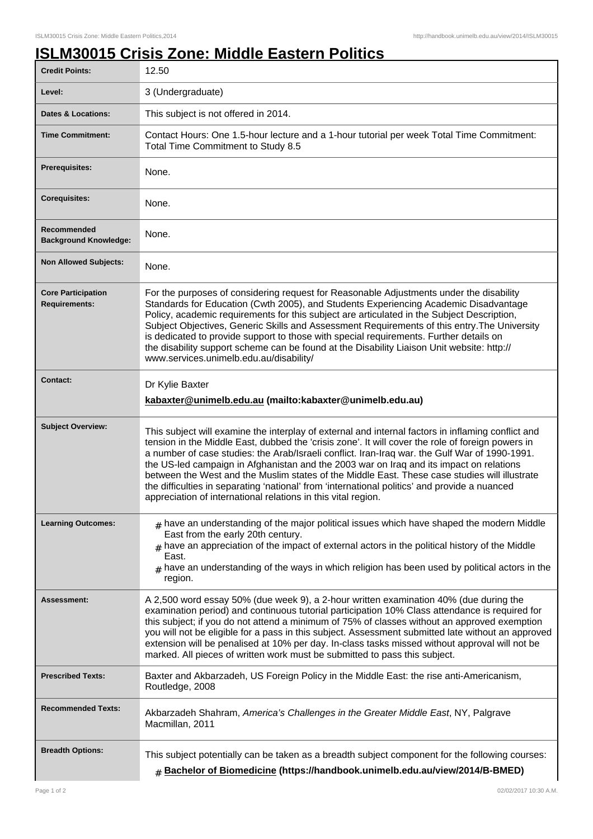## **ISLM30015 Crisis Zone: Middle Eastern Politics**

| <b>Credit Points:</b>                             | 12.50                                                                                                                                                                                                                                                                                                                                                                                                                                                                                                                                                                                                                                                                   |
|---------------------------------------------------|-------------------------------------------------------------------------------------------------------------------------------------------------------------------------------------------------------------------------------------------------------------------------------------------------------------------------------------------------------------------------------------------------------------------------------------------------------------------------------------------------------------------------------------------------------------------------------------------------------------------------------------------------------------------------|
| Level:                                            | 3 (Undergraduate)                                                                                                                                                                                                                                                                                                                                                                                                                                                                                                                                                                                                                                                       |
| <b>Dates &amp; Locations:</b>                     | This subject is not offered in 2014.                                                                                                                                                                                                                                                                                                                                                                                                                                                                                                                                                                                                                                    |
| <b>Time Commitment:</b>                           | Contact Hours: One 1.5-hour lecture and a 1-hour tutorial per week Total Time Commitment:<br>Total Time Commitment to Study 8.5                                                                                                                                                                                                                                                                                                                                                                                                                                                                                                                                         |
| Prerequisites:                                    | None.                                                                                                                                                                                                                                                                                                                                                                                                                                                                                                                                                                                                                                                                   |
| <b>Corequisites:</b>                              | None.                                                                                                                                                                                                                                                                                                                                                                                                                                                                                                                                                                                                                                                                   |
| Recommended<br><b>Background Knowledge:</b>       | None.                                                                                                                                                                                                                                                                                                                                                                                                                                                                                                                                                                                                                                                                   |
| <b>Non Allowed Subjects:</b>                      | None.                                                                                                                                                                                                                                                                                                                                                                                                                                                                                                                                                                                                                                                                   |
| <b>Core Participation</b><br><b>Requirements:</b> | For the purposes of considering request for Reasonable Adjustments under the disability<br>Standards for Education (Cwth 2005), and Students Experiencing Academic Disadvantage<br>Policy, academic requirements for this subject are articulated in the Subject Description,<br>Subject Objectives, Generic Skills and Assessment Requirements of this entry. The University<br>is dedicated to provide support to those with special requirements. Further details on<br>the disability support scheme can be found at the Disability Liaison Unit website: http://<br>www.services.unimelb.edu.au/disability/                                                        |
| <b>Contact:</b>                                   | Dr Kylie Baxter<br>kabaxter@unimelb.edu.au (mailto:kabaxter@unimelb.edu.au)                                                                                                                                                                                                                                                                                                                                                                                                                                                                                                                                                                                             |
| <b>Subject Overview:</b>                          | This subject will examine the interplay of external and internal factors in inflaming conflict and<br>tension in the Middle East, dubbed the 'crisis zone'. It will cover the role of foreign powers in<br>a number of case studies: the Arab/Israeli conflict. Iran-Iraq war. the Gulf War of 1990-1991.<br>the US-led campaign in Afghanistan and the 2003 war on Iraq and its impact on relations<br>between the West and the Muslim states of the Middle East. These case studies will illustrate<br>the difficulties in separating 'national' from 'international politics' and provide a nuanced<br>appreciation of international relations in this vital region. |
| <b>Learning Outcomes:</b>                         | $_{\#}$ have an understanding of the major political issues which have shaped the modern Middle<br>East from the early 20th century.<br>$#$ have an appreciation of the impact of external actors in the political history of the Middle<br>East.<br>$#$ have an understanding of the ways in which religion has been used by political actors in the<br>region.                                                                                                                                                                                                                                                                                                        |
| Assessment:                                       | A 2,500 word essay 50% (due week 9), a 2-hour written examination 40% (due during the<br>examination period) and continuous tutorial participation 10% Class attendance is required for<br>this subject; if you do not attend a minimum of 75% of classes without an approved exemption<br>you will not be eligible for a pass in this subject. Assessment submitted late without an approved<br>extension will be penalised at 10% per day. In-class tasks missed without approval will not be<br>marked. All pieces of written work must be submitted to pass this subject.                                                                                           |
| <b>Prescribed Texts:</b>                          | Baxter and Akbarzadeh, US Foreign Policy in the Middle East: the rise anti-Americanism,<br>Routledge, 2008                                                                                                                                                                                                                                                                                                                                                                                                                                                                                                                                                              |
| <b>Recommended Texts:</b>                         | Akbarzadeh Shahram, America's Challenges in the Greater Middle East, NY, Palgrave<br>Macmillan, 2011                                                                                                                                                                                                                                                                                                                                                                                                                                                                                                                                                                    |
| <b>Breadth Options:</b>                           | This subject potentially can be taken as a breadth subject component for the following courses:<br># Bachelor of Biomedicine (https://handbook.unimelb.edu.au/view/2014/B-BMED)                                                                                                                                                                                                                                                                                                                                                                                                                                                                                         |